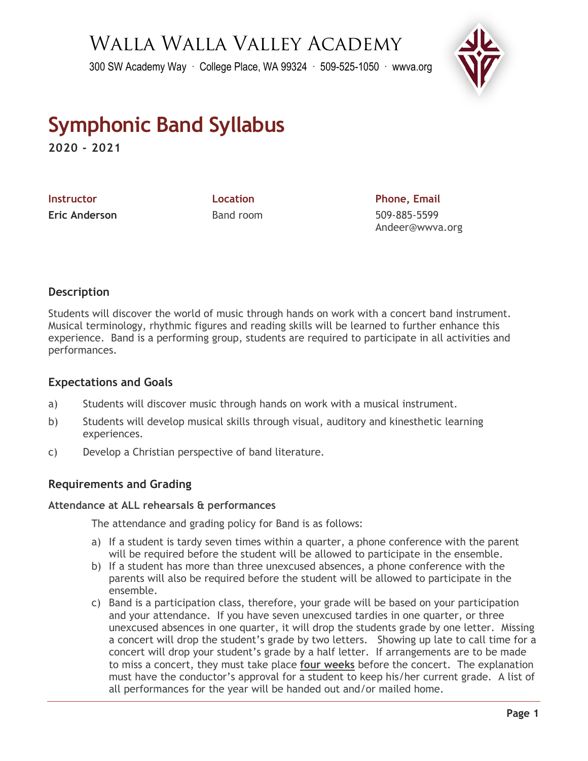## Walla Walla Valley Academy

300 SW Academy Way ∙ College Place, WA 99324 ∙ 509-525-1050 ∙ wwva.org



# **Symphonic Band Syllabus**

**2020 - 2021**

**Instructor Constructor Location Construction Phone, Email Eric Anderson** Band room 509-885-5599

Andeer@wwva.org

### **Description**

Students will discover the world of music through hands on work with a concert band instrument. Musical terminology, rhythmic figures and reading skills will be learned to further enhance this experience. Band is a performing group, students are required to participate in all activities and performances.

#### **Expectations and Goals**

- a) Students will discover music through hands on work with a musical instrument.
- b) Students will develop musical skills through visual, auditory and kinesthetic learning experiences.
- c) Develop a Christian perspective of band literature.

#### **Requirements and Grading**

#### **Attendance at ALL rehearsals & performances**

The attendance and grading policy for Band is as follows:

- a) If a student is tardy seven times within a quarter, a phone conference with the parent will be required before the student will be allowed to participate in the ensemble.
- b) If a student has more than three unexcused absences, a phone conference with the parents will also be required before the student will be allowed to participate in the ensemble.
- c) Band is a participation class, therefore, your grade will be based on your participation and your attendance. If you have seven unexcused tardies in one quarter, or three unexcused absences in one quarter, it will drop the students grade by one letter. Missing a concert will drop the student's grade by two letters. Showing up late to call time for a concert will drop your student's grade by a half letter. If arrangements are to be made to miss a concert, they must take place **four weeks** before the concert. The explanation must have the conductor's approval for a student to keep his/her current grade. A list of all performances for the year will be handed out and/or mailed home.